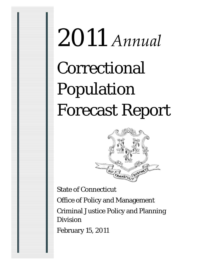# 2011 *Annual* Correctional Population Forecast Report



State of Connecticut Office of Policy and Management Criminal Justice Policy and Planning Division February 15, 2011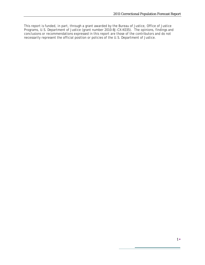This report is funded, in part, through a grant awarded by the Bureau of Justice, Office of Justice Programs, U.S. Department of Justice (grant number 2010-BJ-CX-K035). The opinions, findings and conclusions or recommendations expressed in this report are those of the contributors and do not necessarily represent the official position or policies of the U.S. Department of Justice.

۰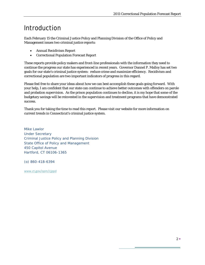## Introduction

Each February 15 the Criminal Justice Policy and Planning Division of the Office of Policy and Management issues two criminal justice reports:

- Annual Recidivism Report
- Correctional Population Forecast Report

These reports provide policy makers and front-line professionals with the information they need to continue the progress our state has experienced in recent years. Governor Dannel P. Malloy has set two goals for our state's criminal justice system: reduce crime and maximize efficiency. Recidivism and correctional population are two important indicators of progress in this regard.

Please feel free to share your ideas about how we can best accomplish these goals going forward. With your help, I am confident that our state can continue to achieve better outcomes with offenders on parole and probation supervision. As the prison population continues to decline, it is my hope that some of the budgetary savings will be reinvested in the supervision and treatment programs that have demonstrated success.

Thank you for taking the time to read this report. Please visit our website for more information on current trends in Connecticut's criminal justice system.

*Mike Lawlor Under Secretary Criminal Justice Policy and Planning Division State Office of Policy and Management 450 Capitol Avenue Hartford, CT 06106-1365* 

*(o) 860-418-6394* 

[www.ct.gov/opm/cjppd](http://www.ct.gov/opm/cjppd)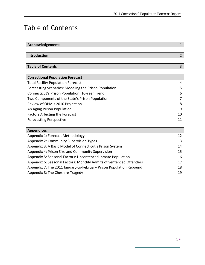## Table of Contents

| <b>Acknowledgements</b>                                             | $\mathbf{1}$   |
|---------------------------------------------------------------------|----------------|
|                                                                     |                |
| <b>Introduction</b>                                                 | $\overline{2}$ |
|                                                                     |                |
| <b>Table of Contents</b>                                            | 3              |
|                                                                     |                |
| <b>Correctional Population Forecast</b>                             |                |
| <b>Total Facility Population Forecast</b>                           | 4              |
| Forecasting Scenarios: Modeling the Prison Population               | 5              |
| Connecticut's Prison Population: 10-Year Trend                      | 6              |
| Two Components of the State's Prison Population                     | 7              |
| Review of OPM's 2010 Projection                                     | 8              |
| An Aging Prison Population                                          | 9              |
| <b>Factors Affecting the Forecast</b>                               | 10             |
| <b>Forecasting Perspective</b>                                      | 11             |
|                                                                     |                |
| <b>Appendices</b>                                                   |                |
| Appendix 1: Forecast Methodology                                    | 12             |
| <b>Appendix 2: Community Supervision Types</b>                      | 13             |
| Appendix 3: A Basic Model of Connecticut's Prison System            | 14             |
| Appendix 4: Prison Size and Community Supervision                   | 15             |
| Appendix 5: Seasonal Factors: Unsentenced Inmate Population         | 16             |
| Appendix 6: Seasonal Factors: Monthly Admits of Sentenced Offenders | 17             |
| Appendix 7: The 2011 January-to-February Prison Population Rebound  | 18             |
| Appendix 8: The Cheshire Tragedy                                    | 19             |

÷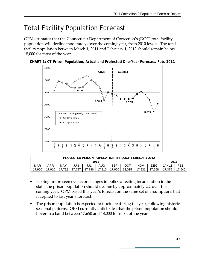# Total Facility Population Forecast

OPM estimates that the Connecticut Department of Correction's (DOC) total facility population will decline moderately, over the coming year, from 2010 levels. The total facility population between March 1, 2011 and February 1, 2012 should remain below 18,000 for most of the year.





| <b>PROJECTED PRISON POPULATION THROUGH FEBRUARY 2012</b> |        |     |            |     |        |      |        |      |        |        |      |
|----------------------------------------------------------|--------|-----|------------|-----|--------|------|--------|------|--------|--------|------|
| 2011                                                     |        |     |            |     |        |      |        |      | 2012   |        |      |
| <b>MAR</b>                                               | APR    | MAY | <b>JUN</b> | JUL | AUG    | SEP  | ОСТ    | NOV  | DEC    | JAN'11 | FEB  |
| .960                                                     | 17.910 | 792 | 787        | 786 | 17.810 | .950 | 18.035 | .931 | 17.758 | 17,375 | .640 |

- Barring unforeseen events or changes in policy affecting incarceration in the state, the prison population should decline by approximately 2% over the coming year. OPM based this year's forecast on the same set of assumptions that it applied to last year's forecast.
- The prison population is expected to fluctuate during the year, following historic seasonal patterns. OPM currently anticipates that the prison population should hover in a band between 17,650 and 18,000 for most of the year.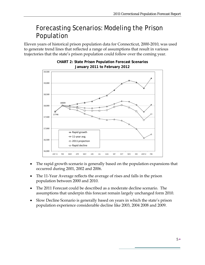## Forecasting Scenarios: Modeling the Prison Population

Eleven years of historical prison population data for Connecticut, 2000-2010, was used to generate trend lines that reflected a range of assumptions that result in various trajectories that the state's prison population could follow over the coming year.



#### **CHART 2: State Prison Population Forecast Scenarios January 2011 to February 2012**

- The rapid growth scenario is generally based on the population expansions that occurred during 2001, 2002 and 2006.
- The 11-Year Average reflects the average of rises and falls in the prison population between 2000 and 2010.
- The 2011 Forecast could be described as a moderate decline scenario. The assumptions that underpin this forecast remain largely unchanged form 2010.
- Slow Decline Scenario is generally based on years in which the state's prison population experience considerable decline like 2003, 2004 2008 and 2009.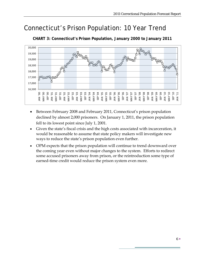## Connecticut's Prison Population: 10 Year Trend



**CHART 3: Connecticut's Prison Population, January 2000 to January 2011**

- Between February 2008 and February 2011, Connecticut's prison population declined by almost 2,000 prisoners. On January 1, 2011, the prison population fell to its lowest point since July 1, 2001.
- Given the state's fiscal crisis and the high costs associated with incarceration, it would be reasonable to assume that state policy makers will investigate new ways to reduce the state's prison population even further.
- OPM expects that the prison population will continue to trend downward over the coming year even without major changes to the system. Efforts to redirect some accused prisoners away from prison, or the reintroduction some type of earned-time credit would reduce the prison system even more.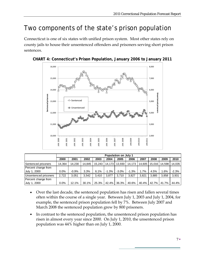## Two components of the state's prison population

Connecticut is one of six states with unified prison system. Most other states rely on county jails to house their unsentenced offenders and prisoners serving short prison sentences.





|                       | <b>Population on July 1</b> |         |        |        |         |         |         |        |        |        |         |
|-----------------------|-----------------------------|---------|--------|--------|---------|---------|---------|--------|--------|--------|---------|
|                       | 2000                        | 2001    | 2002   | 2003   | 2004    | 2005    | 2006    | 2007   | 2008   | 2009   | 2010    |
| Sentenced prisoners   | 14.364                      | 14.230  | 14.845 | 15.243 | 14.173  | 13.930  | 14,173  | 14.605 | 15.016 | 14.598 | 14.035  |
| Percent change from   |                             |         |        |        |         |         |         |        |        |        |         |
| July 1, 2000          | $0.0\%$                     | $-0.9%$ | 3.3%   | 6.1%   | $-1.3%$ | $-3.0%$ | $-1.3%$ | 1.7%   | 4.5%   | 1.6%   | $-2.3%$ |
| Unsentenced prisoners | 2.722                       | 3.051   | 3.542  | 3.410  | 3.877   | 3.710   | 3.827   | 3.821  | 3.885  | 3.858  | 3,931   |
| Percent change from   |                             |         |        |        |         |         |         |        |        |        |         |
| July 1, 2000          | 0.0%                        | 12.1%   | 30.1%  | 25.3%  | 42.4%   | 36.3%   | 40.6%   | 40.4%  | 42.7%  | 41.7%  | 44.4%   |

- Over the last decade, the sentenced population has risen and fallen several times often within the course of a single year. Between July 1, 2003 and July 1, 2004, for example, the sentenced prison population fell by 7%. Between July 2007 and March 2008 the sentenced population grew by 800 prisoners.
- In contrast to the sentenced population, the unsentenced prison population has risen in almost every year since 2000. On July 1, 2010, the unsentenced prison population was 44% higher than on July 1, 2000.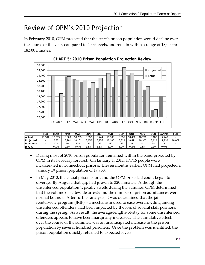## Review of OPM's 2010 Projection

In February 2010, OPM projected that the state's prison population would decline over the course of the year, compared to 2009 levels, and remain within a range of 18,000 to 18,500 inmates.





|                   | FEB                      | <b>MAR</b> | APR     | <b>MAY</b> | <b>JUN</b> | JUL           | AUG    | SEP    | OCT            | NOV    | DEC     | <b>JAN '11</b> | FEB    |
|-------------------|--------------------------|------------|---------|------------|------------|---------------|--------|--------|----------------|--------|---------|----------------|--------|
| Actual            | 18.381                   | 18.309     | 18.300  | 18.265     | 18.352     | 18.444        | 18.500 | 18.555 | 18.452         | 18.291 | 18.187  | 7.746،         |        |
| <b>Projected</b>  | -                        | 18.332     | 18.281  | 18.161     | 18.156     | 155<br>18.    | 18.180 | 18.323 | 18.411         | 18.305 | 18.129  | 7.738          | 18.009 |
| <b>Difference</b> | $\overline{\phantom{0}}$ | -23        | 19      | 104        | 196        | 289           | 320    | 232    | 4 <sup>1</sup> | -14    | 58      |                |        |
| Diff, %           |                          | 0.1%       | $-0.1%$ | $-0.6%$    | $-1.1%$    | $.6\%$<br>- 1 | . .7%  | .2%    | $-0.2%$        | 0.1%   | $-0.3%$ | 0.0%           |        |

- During most of 2010 prison population remained within the band projected by OPM in its February forecast. On January 1, 2011, 17,746 people were incarcerated in Connecticut prisons. Eleven months earlier, OPM had projected a January 1st prison population of 17,738.
- In May 2010, the actual prison count and the OPM projected count began to diverge. By August, that gap had grown to 320 inmates. Although the unsentenced population typically swells during the summer, OPM determined that the volume of statewide arrests and the number of prison admittances were normal bounds. After further analysis, it was determined that the jail reinterview program (JRIP) – a mechanism used to ease overcrowding among unsentenced offenders, had been impacted by the loss of several staff positions during the spring. As a result, the average-lengths-of-stay for some unsentenced offenders appears to have been marginally increased. The cumulative effect, over the course of the summer, was an unanticipated increase in the prison population by several hundred prisoners. Once the problem was identified, the prison population quickly returned to expected levels.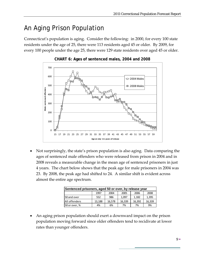## An Aging Prison Population

Connecticut's population is aging. Consider the following: in 2000, for every 100 state residents under the age of 25, there were 113 residents aged 45 or older. By 2009, for every 100 people under the age 25, there were 129 state residents over aged 45 or older.





• Not surprisingly, the state's prison population is also aging. Data comparing the ages of sentenced male offenders who were released from prison in 2004 and in 2008 reveals a measurable change in the mean age of sentenced prisoners in just 4 years. The chart below shows that the peak age for male prisoners in 2004 was 23. By 2008, the peak age had shifted to 24. A similar shift is evident across almost the entire age spectrum.

| Sentenced prisoners, aged 50 or over, by release year |        |        |        |        |        |  |  |  |  |  |
|-------------------------------------------------------|--------|--------|--------|--------|--------|--|--|--|--|--|
| 2008<br>1997<br>2004<br>2005<br>2006                  |        |        |        |        |        |  |  |  |  |  |
| 50 and over                                           | 552    | 986    | 1,097  | 1,182  | 1,395  |  |  |  |  |  |
| All offenders                                         | 13,188 | 16,578 | 16,339 | 16.392 | 16,339 |  |  |  |  |  |
| 50 or over, %                                         | 4%     | 6%     | 7%     | 7%     | 9%     |  |  |  |  |  |

• An aging prison population should exert a downward impact on the prison population moving forward since older offenders tend to recidivate at lower rates than younger offenders.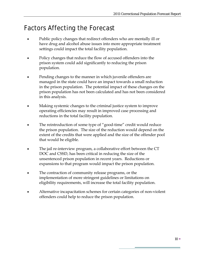## Factors Affecting the Forecast

- Public policy changes that redirect offenders who are mentally ill or have drug and alcohol abuse issues into more appropriate treatment settings could impact the total facility population.
- Policy changes that reduce the flow of accused offenders into the prison system could add significantly to reducing the prison population.
- Pending changes to the manner in which juvenile offenders are managed in the state could have an impact towards a small reduction in the prison population. The potential impact of these changes on the prison population has not been calculated and has not been considered in this analysis.
- Making systemic changes to the criminal justice system to improve operating efficiencies may result in improved case processing and reductions in the total facility population.
- The reintroduction of some type of "good-time" credit would reduce the prison population. The size of the reduction would depend on the extent of the credits that were applied and the size of the offender pool that would be eligible.
- The jail re-interview program, a collaborative effort between the CT DOC and CSSD, has been critical in reducing the size of the unsentenced prison population in recent years. Reductions or expansions to that program would impact the prison population.
- The contraction of community release programs, or the implementation of more stringent guidelines or limitations on eligibility requirements, will increase the total facility population.
- Alternative incapacitation schemes for certain categories of non-violent offenders could help to reduce the prison population.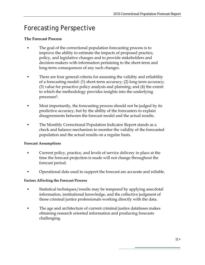## Forecasting Perspective

#### **The Forecast Process**

- The goal of the correctional population forecasting process is to improve the ability to estimate the impacts of proposed practice, policy, and legislative changes and to provide stakeholders and decision-makers with information pertaining to the short-term and long-term consequences of any such changes.
- There are four general criteria for assessing the validity and reliability of a forecasting model: (1) short-term accuracy; (2) long term accuracy; (3) value for proactive policy analysis and planning; and (4) the extent to which the methodology provides insights into the underlying processes2.
- Most importantly, the forecasting process should not be judged by its predictive accuracy, but by the ability of the forecasters to explain disagreements between the forecast model and the actual results.
- The Monthly Correctional Population Indicator Report stands as a check and balance mechanism to monitor the validity of the forecasted population and the actual results on a regular basis.

#### **Forecast Assumptions**

- Current policy, practice, and levels of service delivery in place at the time the forecast projection is made will not change throughout the forecast period.
- Operational data used to support the forecast are accurate and reliable.

#### **Factors Affecting the Forecast Process**

- Statistical techniques/results may be tempered by applying anecdotal information, institutional knowledge, and the collective judgment of those criminal justice professionals working directly with the data.
- The age and architecture of current criminal justice databases makes obtaining research oriented information and producing forecasts challenging.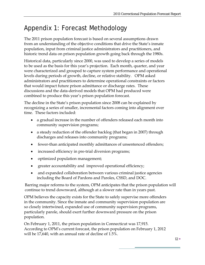## Appendix 1: Forecast Methodology

The 2011 prison population forecast is based on several assumptions drawn from an understanding of the objective conditions that drive the State's inmate population, input from criminal justice administrators and practitioners, and historic trend data on prison population growth going back through the 1980s.

Historical data, particularly since 2000, was used to develop a series of models to be used as the basis for this year's projection. Each month, quarter, and year were characterized and grouped to capture system performance and operational levels during periods of growth, decline, or relative stability. OPM asked administrators and practitioners to determine operational constraints or factors that would impact future prison admittance or discharge rates. These discussions and the data-derived models that OPM had produced were combined to produce this year's prison population forecast.

The decline in the State's prison population since 2008 can be explained by recognizing a series of smaller, incremental factors coming into alignment over time. These factors included:

- a gradual increase in the number of offenders released each month into community supervision programs;
- a steady reduction of the offender backlog (that began in 2007) through discharges and releases into community programs;
- fewer-than anticipated monthly admittances of unsentenced offenders;
- increased efficiency in pre-trial diversion programs;
- optimized population management;
- greater accountability and improved operational efficiency;
- and expanded collaboration between various criminal justice agencies including the Board of Pardons and Paroles, CSSD, and DOC.

Barring major reforms to the system, OPM anticipates that the prison population will continue to trend downward, although at a slower rate than in years past.

OPM believes the capacity exists for the State to safely supervise more offenders in the community. Since the inmate and community supervision population are so closely intertwined, expanded use of community supervision programs, particularly parole, should exert further downward pressure on the prison population.

On February 1, 2011, the prison population in Connecticut was 17,915. According to OPM's current forecast, the prison population on February 1, 2012 will be 17,640, with an annual rate of decline of 1.5%.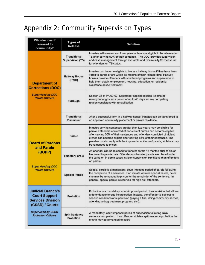## Appendix 2: Community Supervision Types

| Who decides if<br>released to<br>community?                                                                                                               | Types of<br>Release                            | <b>Defintion</b>                                                                                                                                                                                                                                                                                                                                                                                        |  |  |  |  |  |  |
|-----------------------------------------------------------------------------------------------------------------------------------------------------------|------------------------------------------------|---------------------------------------------------------------------------------------------------------------------------------------------------------------------------------------------------------------------------------------------------------------------------------------------------------------------------------------------------------------------------------------------------------|--|--|--|--|--|--|
|                                                                                                                                                           | <b>Transitional</b><br><b>Supervision (TS)</b> | Inmates with sentences of two years or less are eligible to be released on<br>TS after serving 50% of their sentence. The DOC provides supervision<br>and case management through its Parole and Community Services Unit<br>for offenders on TS status.                                                                                                                                                 |  |  |  |  |  |  |
| <b>Department of</b><br><b>Corrections (DOC)</b>                                                                                                          | <b>Halfway House</b><br>(HWH)                  | Inmates can become eligible to live in a halfway house if they have been<br>voted to parole or are within 18 months of their release date. Halfway<br>houses provide offenders with structured programs and supervision to<br>help them obtain employment, housing, education, or residential<br>substance abuse treatment.                                                                             |  |  |  |  |  |  |
| <b>Supervised by DOC</b><br><b>Parole Officers</b>                                                                                                        | Furlough                                       | Section 35 of PA 09-07, September special session, reinstated<br>reentry furloughs for a period of up to 45 days for any compelling<br>reason consistent with rehabilitation.                                                                                                                                                                                                                           |  |  |  |  |  |  |
|                                                                                                                                                           | <b>Transitional</b><br>Placement               | After a successful term in a halfway house, inmates can be transferred to<br>an approved community placement or private residence.                                                                                                                                                                                                                                                                      |  |  |  |  |  |  |
| <b>Board of Pardons</b>                                                                                                                                   | Parole                                         | Inmates serving sentences greater than two years may be eligible for<br>parole. Offenders convicted of non-violent crimes can become eligible<br>after serving 50% of their sentences and offenders convicted of violent<br>crimes can become eligible after serving 85% of their sentences. The<br>parollee must comply with the imposed conditions of parole; violators may<br>be remanded to prison. |  |  |  |  |  |  |
| and Parole<br>(BOPP)                                                                                                                                      | <b>Transfer Parole</b>                         | An offender can be released to transfer parole 18 months prior to his or<br>her voted to parole date. Offenders on transfer parole are placed under<br>the same or, in some cases, stricter supervision conditions than offenders<br>on parole.                                                                                                                                                         |  |  |  |  |  |  |
| <b>Supervised by DOC</b><br><b>Parole Officers</b>                                                                                                        | <b>Special Parole</b>                          | Special parole is a mandatory, court-imposed period of parole following<br>the completion of a sentence. If an inmate violates special parole, he or<br>she may be remanded to prison for the remainder of the sentence. In<br>general, special parole is reserved for high-risk offenders.                                                                                                             |  |  |  |  |  |  |
| <b>Judicial Branch's</b><br><b>Court Support</b><br><b>Services Division</b><br>(CSSD) / Courts<br><b>Supervised by CSSD</b><br><b>Probation Officers</b> | Probation                                      | Probation is a mandatory, court-imposed period of supervision that allows<br>a defendant to forego incarceration. Instead, the offender is subject to<br>specific conditions of supervision (paying a fine, doing community service,<br>attending a drug treatment program, etc.).                                                                                                                      |  |  |  |  |  |  |
|                                                                                                                                                           | <b>Split Sentence</b><br>Probation             | A mandatory, court-imposed period of supervision following DOC<br>sentence completion. If an offender violates split sentence probation, he<br>or she may be remanded to court.                                                                                                                                                                                                                         |  |  |  |  |  |  |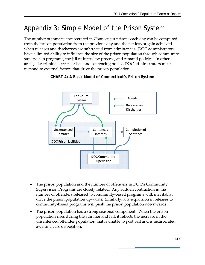## Appendix 3: Simple Model of the Prison System

The number of inmates incarcerated in Connecticut prisons each day can be computed from the prison population from the previous day and the net loss or gain achieved when releases and discharges are subtracted from admittances. DOC administrators have a limited ability to influence the size of the prison population through community supervision programs, the jail re-interview process, and remand policies. In other areas, like criminal arrests or bail and sentencing policy, DOC administrators must respond to external factors that drive the prison population.



### **CHART 4: A Basic Model of Connecticut's Prison System**

- The prison population and the number of offenders in DOC's Community Supervision Programs are closely related. Any sudden contraction in the number of offenders released to community-based programs will, inevitably, drive the prison population upwards. Similarly, any expansion in releases to community-based programs will push the prison population downwards.
- The prison population has a strong seasonal component. When the prison population rises during the summer and fall, it reflects the increase in the unsentenced offender population that is unable to post bail and is incarcerated awaiting case disposition.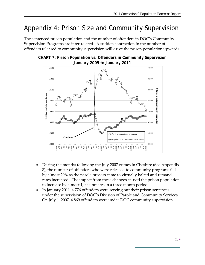## Appendix 4: Prison Size and Community Supervision

The sentenced prison population and the number of offenders in DOC's Community Supervision Programs are inter-related. A sudden contraction in the number of offenders released to community supervision will drive the prison population upwards.



**CHART 7: Prison Population vs. Offenders in Community Supervision January 2005 to January 2011** 

- During the months following the July 2007 crimes in Cheshire (See Appendix 8), the number of offenders who were released to community programs fell by almost 20% as the parole process came to virtually halted and remand rates increased. The impact from these changes caused the prison population to increase by almost 1,000 inmates in a three month period.
- In January 2011, 4,776 offenders were serving out their prison sentences under the supervision of DOC's Division of Parole and Community Services. On July 1, 2007, 4,869 offenders were under DOC community supervision.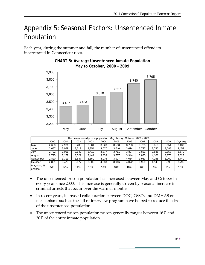## Appendix 5: Seasonal Factors: Unsentenced Inmate Population

Each year, during the summer and fall, the number of unsentenced offenders incarcerated in Connecticut rises.



#### **CHART 5: Average Unsentenced Inmate Population May to October, 2000 - 2009**

|                      | The unsentenced prison population, May through October, 2000 - 2009 |       |       |       |       |       |       |       |       |       |            |  |  |
|----------------------|---------------------------------------------------------------------|-------|-------|-------|-------|-------|-------|-------|-------|-------|------------|--|--|
|                      | 2000                                                                | 2001  | 2002  | 2003  | 2004  | 2005  | 2006  | 2007  | 2008  | 2009  | 10-yr avg. |  |  |
| May                  | 2,688                                                               | 2.971 | 3,239 | 3.381 | 3,628 | 3,568 | 3.703 | 3.725 | 3,816 | 3,654 | 3,437      |  |  |
| IJune                | 2.687                                                               | 3.029 | 3,319 | 3,354 | 3,627 | 3,640 | 3,674 | 3.727 | 3.786 | 3,688 | 3,453      |  |  |
| July                 | 2.722                                                               | 3.051 | 3.542 | 3,410 | 3,877 | 3.711 | 3,827 | 3,821 | 3,885 | 3,858 | 3,570      |  |  |
| August               | 2,795                                                               | 3.177 | 3,529 | 3,444 | 3,833 | 3,737 | 3,944 | 3,830 | 4,108 | 3,870 | 3,627      |  |  |
| September            | 2,820                                                               | 3.311 | 3.547 | 3,550 | 4,076 | 3.907 | 4,084 | 3,983 | 4,158 | 3,969 | 3,740      |  |  |
| October              | 2.821                                                               | 3.473 | 3,677 | 3,805 | 4,083 | 3,916 | 4.072 | 3,959 | 4.148 | 3,998 | 3,795      |  |  |
| May-Oct, %<br>change | 5%                                                                  | 17%   | 14%   | 13%   | 13%   | 10%   | 10%   | 6%    | 9%    | 9%    | 10%        |  |  |

- The unsentenced prison population has increased between May and October in every year since 2000. This increase is generally driven by seasonal increase in criminal arrests that occur over the warmer months.
- In recent years, increased collaboration between DOC, CSSD, and DMHAS on mechanisms such as the jail re-interview program have helped to reduce the size of the unsentenced population.
- The unsentenced prison population prison generally ranges between 16% and 20% of the entire inmate population.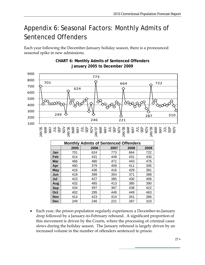## Appendix 6: Seasonal Factors: Monthly Admits of Sentenced Offenders

Each year following the December-January holiday season, there is a pronounced seasonal spike in new admissions.



**Mar** 466 480 471 443 476 **Apr** 460 379 409 411 395 **May** 416 436 416 429 381 **Jun | 418 | 399 | 354 | 371 | 388 Jul | 423 | 427 | 385 | 430 | 406 Aug** 432 465 413 385 390 **Sep | 434 | 497 | 367 | 438 | 422 Oct** | 402 | 295 | 449 | 449 | 463 **Nov** 414 423 414 341 386 **Dec** 249 246 221 287 310

## **CHART 6: Monthly Admits of Sentenced Offenders**  *<u>d anuary 2005 to December 2009*</u>

• Each year, the prison population regularly experiences a December-to-January drop followed by a January-to-February rebound. A significant proportion of this movement is driven by the Courts, where the processing of criminal cases slows during the holiday season. The January rebound is largely driven by an increased volume in the number of offenders sentenced to prison.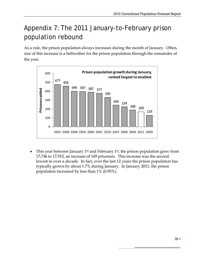## Appendix 7: The 2011 January-to-February prison population rebound

As a rule, the prison population always increases during the month of January. Often, size of this increase is a bellwether for the prison population through the remainder of the year.



This year between January 1<sup>st</sup> and February 1<sup>st</sup>, the prison population grew from 17,746 to 17,915, an increase of 169 prisoners. This increase was the second lowest in over a decade. In fact, over the last 12 years the prison population has typically grown by about 1.7% during January. In January 2011, the prison population increased by less than 1% (0.95%).